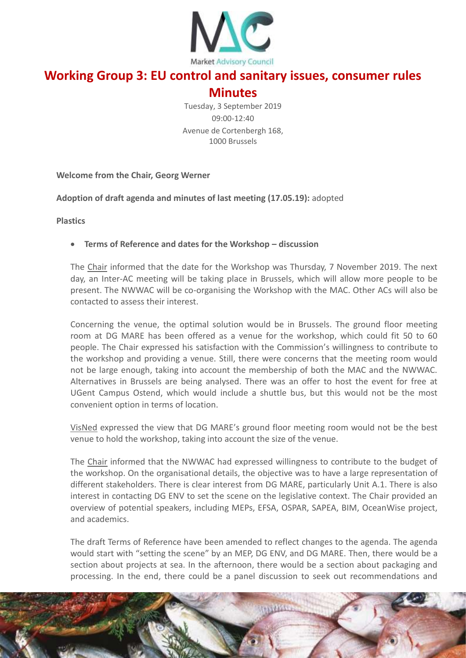

# **Working Group 3: EU control and sanitary issues, consumer rules**

# **Minutes**

Tuesday, 3 September 2019 09:00-12:40 Avenue de Cortenbergh 168, 1000 Brussels

**Welcome from the Chair, Georg Werner**

**Adoption of draft agenda and minutes of last meeting (17.05.19):** adopted

**Plastics**

#### **Terms of Reference and dates for the Workshop – discussion**

The Chair informed that the date for the Workshop was Thursday, 7 November 2019. The next day, an Inter-AC meeting will be taking place in Brussels, which will allow more people to be present. The NWWAC will be co-organising the Workshop with the MAC. Other ACs will also be contacted to assess their interest.

Concerning the venue, the optimal solution would be in Brussels. The ground floor meeting room at DG MARE has been offered as a venue for the workshop, which could fit 50 to 60 people. The Chair expressed his satisfaction with the Commission's willingness to contribute to the workshop and providing a venue. Still, there were concerns that the meeting room would not be large enough, taking into account the membership of both the MAC and the NWWAC. Alternatives in Brussels are being analysed. There was an offer to host the event for free at UGent Campus Ostend, which would include a shuttle bus, but this would not be the most convenient option in terms of location.

VisNed expressed the view that DG MARE's ground floor meeting room would not be the best venue to hold the workshop, taking into account the size of the venue.

The Chair informed that the NWWAC had expressed willingness to contribute to the budget of the workshop. On the organisational details, the objective was to have a large representation of different stakeholders. There is clear interest from DG MARE, particularly Unit A.1. There is also interest in contacting DG ENV to set the scene on the legislative context. The Chair provided an overview of potential speakers, including MEPs, EFSA, OSPAR, SAPEA, BIM, OceanWise project, and academics.

The draft Terms of Reference have been amended to reflect changes to the agenda. The agenda would start with "setting the scene" by an MEP, DG ENV, and DG MARE. Then, there would be a section about projects at sea. In the afternoon, there would be a section about packaging and processing. In the end, there could be a panel discussion to seek out recommendations and

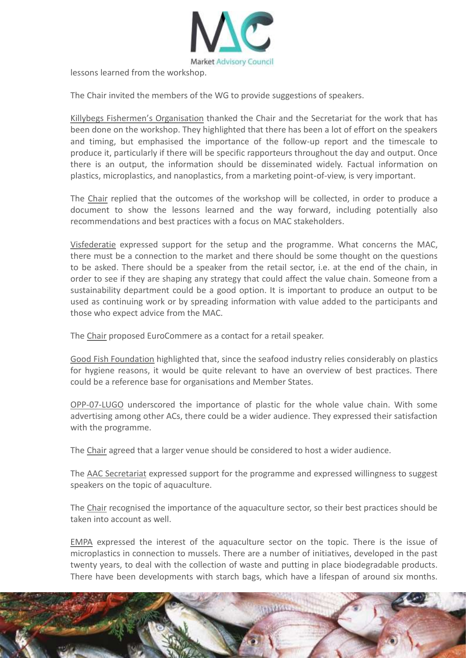

lessons learned from the workshop.

The Chair invited the members of the WG to provide suggestions of speakers.

Killybegs Fishermen's Organisation thanked the Chair and the Secretariat for the work that has been done on the workshop. They highlighted that there has been a lot of effort on the speakers and timing, but emphasised the importance of the follow-up report and the timescale to produce it, particularly if there will be specific rapporteurs throughout the day and output. Once there is an output, the information should be disseminated widely. Factual information on plastics, microplastics, and nanoplastics, from a marketing point-of-view, is very important.

The Chair replied that the outcomes of the workshop will be collected, in order to produce a document to show the lessons learned and the way forward, including potentially also recommendations and best practices with a focus on MAC stakeholders.

Visfederatie expressed support for the setup and the programme. What concerns the MAC, there must be a connection to the market and there should be some thought on the questions to be asked. There should be a speaker from the retail sector, i.e. at the end of the chain, in order to see if they are shaping any strategy that could affect the value chain. Someone from a sustainability department could be a good option. It is important to produce an output to be used as continuing work or by spreading information with value added to the participants and those who expect advice from the MAC.

The Chair proposed EuroCommere as a contact for a retail speaker.

Good Fish Foundation highlighted that, since the seafood industry relies considerably on plastics for hygiene reasons, it would be quite relevant to have an overview of best practices. There could be a reference base for organisations and Member States.

OPP-07-LUGO underscored the importance of plastic for the whole value chain. With some advertising among other ACs, there could be a wider audience. They expressed their satisfaction with the programme.

The Chair agreed that a larger venue should be considered to host a wider audience.

The AAC Secretariat expressed support for the programme and expressed willingness to suggest speakers on the topic of aquaculture.

The Chair recognised the importance of the aquaculture sector, so their best practices should be taken into account as well.

EMPA expressed the interest of the aquaculture sector on the topic. There is the issue of microplastics in connection to mussels. There are a number of initiatives, developed in the past twenty years, to deal with the collection of waste and putting in place biodegradable products. There have been developments with starch bags, which have a lifespan of around six months.

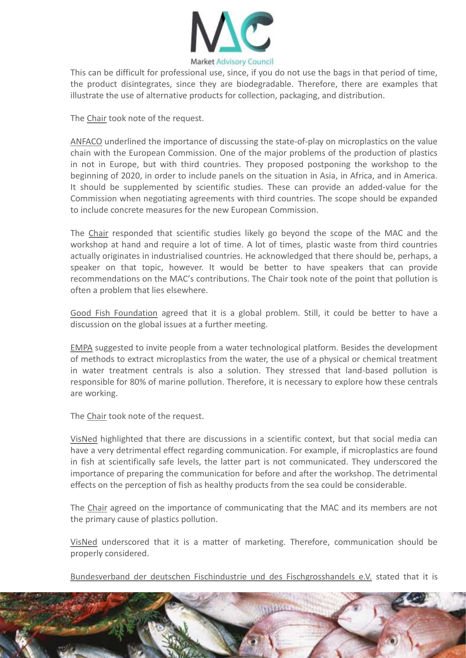

This can be difficult for professional use, since, if you do not use the bags in that period of time, the product disintegrates, since they are biodegradable. Therefore, there are examples that illustrate the use of alternative products for collection, packaging, and distribution.

The Chair took note of the request.

ANFACO underlined the importance of discussing the state-of-play on microplastics on the value chain with the European Commission. One of the major problems of the production of plastics in not in Europe, but with third countries. They proposed postponing the workshop to the beginning of 2020, in order to include panels on the situation in Asia, in Africa, and in America. It should be supplemented by scientific studies. These can provide an added-value for the Commission when negotiating agreements with third countries. The scope should be expanded to include concrete measures for the new European Commission.

The Chair responded that scientific studies likely go beyond the scope of the MAC and the workshop at hand and require a lot of time. A lot of times, plastic waste from third countries actually originates in industrialised countries. He acknowledged that there should be, perhaps, a speaker on that topic, however. It would be better to have speakers that can provide recommendations on the MAC's contributions. The Chair took note of the point that pollution is often a problem that lies elsewhere.

Good Fish Foundation agreed that it is a global problem. Still, it could be better to have a discussion on the global issues at a further meeting.

EMPA suggested to invite people from a water technological platform. Besides the development of methods to extract microplastics from the water, the use of a physical or chemical treatment in water treatment centrals is also a solution. They stressed that land-based pollution is responsible for 80% of marine pollution. Therefore, it is necessary to explore how these centrals are working.

The Chair took note of the request.

VisNed highlighted that there are discussions in a scientific context, but that social media can have a very detrimental effect regarding communication. For example, if microplastics are found in fish at scientifically safe levels, the latter part is not communicated. They underscored the importance of preparing the communication for before and after the workshop. The detrimental effects on the perception of fish as healthy products from the sea could be considerable.

The Chair agreed on the importance of communicating that the MAC and its members are not the primary cause of plastics pollution.

VisNed underscored that it is a matter of marketing. Therefore, communication should be properly considered.

Bundesverband der deutschen Fischindustrie und des Fischgrosshandels e.V. stated that it is

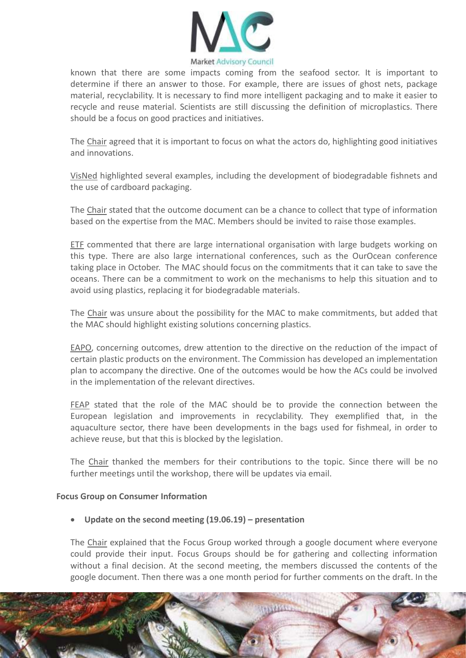

known that there are some impacts coming from the seafood sector. It is important to determine if there an answer to those. For example, there are issues of ghost nets, package material, recyclability. It is necessary to find more intelligent packaging and to make it easier to recycle and reuse material. Scientists are still discussing the definition of microplastics. There should be a focus on good practices and initiatives.

The Chair agreed that it is important to focus on what the actors do, highlighting good initiatives and innovations.

VisNed highlighted several examples, including the development of biodegradable fishnets and the use of cardboard packaging.

The Chair stated that the outcome document can be a chance to collect that type of information based on the expertise from the MAC. Members should be invited to raise those examples.

ETF commented that there are large international organisation with large budgets working on this type. There are also large international conferences, such as the OurOcean conference taking place in October. The MAC should focus on the commitments that it can take to save the oceans. There can be a commitment to work on the mechanisms to help this situation and to avoid using plastics, replacing it for biodegradable materials.

The Chair was unsure about the possibility for the MAC to make commitments, but added that the MAC should highlight existing solutions concerning plastics.

EAPO, concerning outcomes, drew attention to the directive on the reduction of the impact of certain plastic products on the environment. The Commission has developed an implementation plan to accompany the directive. One of the outcomes would be how the ACs could be involved in the implementation of the relevant directives.

FEAP stated that the role of the MAC should be to provide the connection between the European legislation and improvements in recyclability. They exemplified that, in the aquaculture sector, there have been developments in the bags used for fishmeal, in order to achieve reuse, but that this is blocked by the legislation.

The Chair thanked the members for their contributions to the topic. Since there will be no further meetings until the workshop, there will be updates via email.

#### **Focus Group on Consumer Information**

#### **Update on the second meeting (19.06.19) – presentation**

The Chair explained that the Focus Group worked through a google document where everyone could provide their input. Focus Groups should be for gathering and collecting information without a final decision. At the second meeting, the members discussed the contents of the google document. Then there was a one month period for further comments on the draft. In the

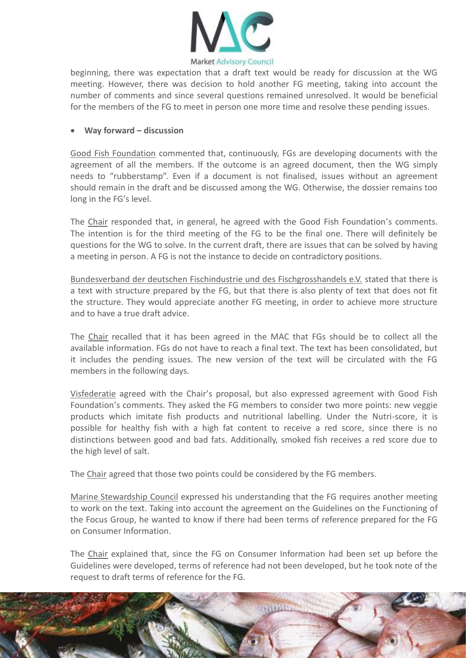

beginning, there was expectation that a draft text would be ready for discussion at the WG meeting. However, there was decision to hold another FG meeting, taking into account the number of comments and since several questions remained unresolved. It would be beneficial for the members of the FG to meet in person one more time and resolve these pending issues.

#### **Way forward – discussion**

Good Fish Foundation commented that, continuously, FGs are developing documents with the agreement of all the members. If the outcome is an agreed document, then the WG simply needs to "rubberstamp". Even if a document is not finalised, issues without an agreement should remain in the draft and be discussed among the WG. Otherwise, the dossier remains too long in the FG's level.

The Chair responded that, in general, he agreed with the Good Fish Foundation's comments. The intention is for the third meeting of the FG to be the final one. There will definitely be questions for the WG to solve. In the current draft, there are issues that can be solved by having a meeting in person. A FG is not the instance to decide on contradictory positions.

Bundesverband der deutschen Fischindustrie und des Fischgrosshandels e.V. stated that there is a text with structure prepared by the FG, but that there is also plenty of text that does not fit the structure. They would appreciate another FG meeting, in order to achieve more structure and to have a true draft advice.

The Chair recalled that it has been agreed in the MAC that FGs should be to collect all the available information. FGs do not have to reach a final text. The text has been consolidated, but it includes the pending issues. The new version of the text will be circulated with the FG members in the following days.

Visfederatie agreed with the Chair's proposal, but also expressed agreement with Good Fish Foundation's comments. They asked the FG members to consider two more points: new veggie products which imitate fish products and nutritional labelling. Under the Nutri-score, it is possible for healthy fish with a high fat content to receive a red score, since there is no distinctions between good and bad fats. Additionally, smoked fish receives a red score due to the high level of salt.

The Chair agreed that those two points could be considered by the FG members.

Marine Stewardship Council expressed his understanding that the FG requires another meeting to work on the text. Taking into account the agreement on the Guidelines on the Functioning of the Focus Group, he wanted to know if there had been terms of reference prepared for the FG on Consumer Information.

The Chair explained that, since the FG on Consumer Information had been set up before the Guidelines were developed, terms of reference had not been developed, but he took note of the request to draft terms of reference for the FG.

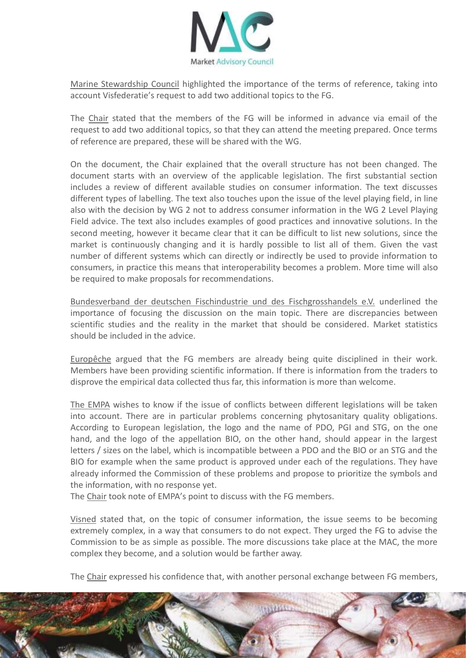

Marine Stewardship Council highlighted the importance of the terms of reference, taking into account Visfederatie's request to add two additional topics to the FG.

The Chair stated that the members of the FG will be informed in advance via email of the request to add two additional topics, so that they can attend the meeting prepared. Once terms of reference are prepared, these will be shared with the WG.

On the document, the Chair explained that the overall structure has not been changed. The document starts with an overview of the applicable legislation. The first substantial section includes a review of different available studies on consumer information. The text discusses different types of labelling. The text also touches upon the issue of the level playing field, in line also with the decision by WG 2 not to address consumer information in the WG 2 Level Playing Field advice. The text also includes examples of good practices and innovative solutions. In the second meeting, however it became clear that it can be difficult to list new solutions, since the market is continuously changing and it is hardly possible to list all of them. Given the vast number of different systems which can directly or indirectly be used to provide information to consumers, in practice this means that interoperability becomes a problem. More time will also be required to make proposals for recommendations.

Bundesverband der deutschen Fischindustrie und des Fischgrosshandels e.V. underlined the importance of focusing the discussion on the main topic. There are discrepancies between scientific studies and the reality in the market that should be considered. Market statistics should be included in the advice.

Europêche argued that the FG members are already being quite disciplined in their work. Members have been providing scientific information. If there is information from the traders to disprove the empirical data collected thus far, this information is more than welcome.

The EMPA wishes to know if the issue of conflicts between different legislations will be taken into account. There are in particular problems concerning phytosanitary quality obligations. According to European legislation, the logo and the name of PDO, PGI and STG, on the one hand, and the logo of the appellation BIO, on the other hand, should appear in the largest letters / sizes on the label, which is incompatible between a PDO and the BIO or an STG and the BIO for example when the same product is approved under each of the regulations. They have already informed the Commission of these problems and propose to prioritize the symbols and the information, with no response yet.

The Chair took note of EMPA's point to discuss with the FG members.

Visned stated that, on the topic of consumer information, the issue seems to be becoming extremely complex, in a way that consumers to do not expect. They urged the FG to advise the Commission to be as simple as possible. The more discussions take place at the MAC, the more complex they become, and a solution would be farther away.

The Chair expressed his confidence that, with another personal exchange between FG members,

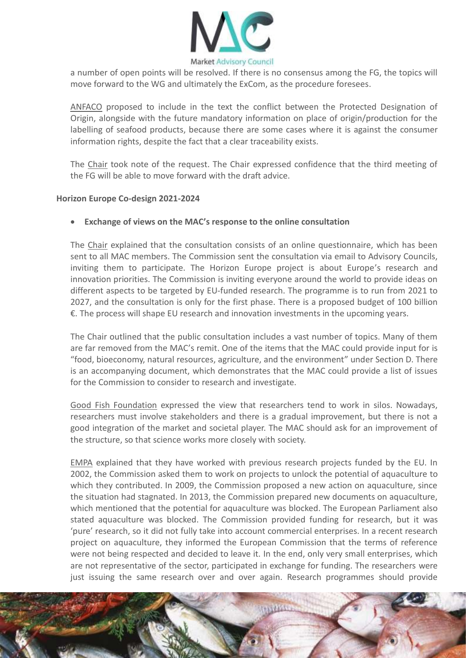

a number of open points will be resolved. If there is no consensus among the FG, the topics will move forward to the WG and ultimately the ExCom, as the procedure foresees.

ANFACO proposed to include in the text the conflict between the Protected Designation of Origin, alongside with the future mandatory information on place of origin/production for the labelling of seafood products, because there are some cases where it is against the consumer information rights, despite the fact that a clear traceability exists.

The Chair took note of the request. The Chair expressed confidence that the third meeting of the FG will be able to move forward with the draft advice.

#### **Horizon Europe Co-design 2021-2024**

#### **Exchange of views on the MAC's response to the online consultation**

The Chair explained that the consultation consists of an online questionnaire, which has been sent to all MAC members. The Commission sent the consultation via email to Advisory Councils, inviting them to participate. The Horizon Europe project is about Europe's research and innovation priorities. The Commission is inviting everyone around the world to provide ideas on different aspects to be targeted by EU-funded research. The programme is to run from 2021 to 2027, and the consultation is only for the first phase. There is a proposed budget of 100 billion  $E$ . The process will shape EU research and innovation investments in the upcoming years.

The Chair outlined that the public consultation includes a vast number of topics. Many of them are far removed from the MAC's remit. One of the items that the MAC could provide input for is "food, bioeconomy, natural resources, agriculture, and the environment" under Section D. There is an accompanying document, which demonstrates that the MAC could provide a list of issues for the Commission to consider to research and investigate.

Good Fish Foundation expressed the view that researchers tend to work in silos. Nowadays, researchers must involve stakeholders and there is a gradual improvement, but there is not a good integration of the market and societal player. The MAC should ask for an improvement of the structure, so that science works more closely with society.

EMPA explained that they have worked with previous research projects funded by the EU. In 2002, the Commission asked them to work on projects to unlock the potential of aquaculture to which they contributed. In 2009, the Commission proposed a new action on aquaculture, since the situation had stagnated. In 2013, the Commission prepared new documents on aquaculture, which mentioned that the potential for aquaculture was blocked. The European Parliament also stated aquaculture was blocked. The Commission provided funding for research, but it was 'pure' research, so it did not fully take into account commercial enterprises. In a recent research project on aquaculture, they informed the European Commission that the terms of reference were not being respected and decided to leave it. In the end, only very small enterprises, which are not representative of the sector, participated in exchange for funding. The researchers were just issuing the same research over and over again. Research programmes should provide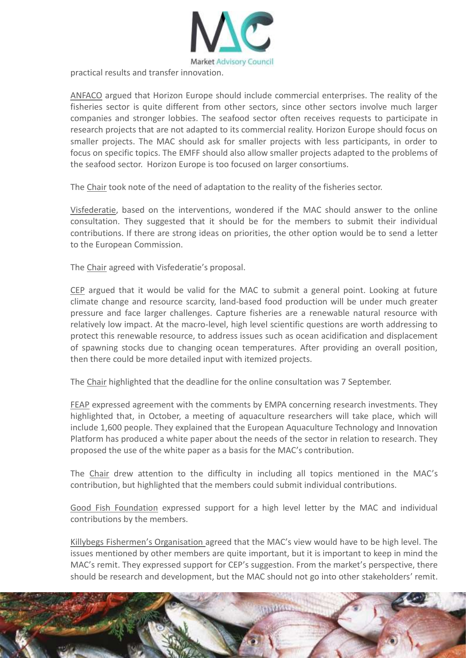

practical results and transfer innovation.

ANFACO argued that Horizon Europe should include commercial enterprises. The reality of the fisheries sector is quite different from other sectors, since other sectors involve much larger companies and stronger lobbies. The seafood sector often receives requests to participate in research projects that are not adapted to its commercial reality. Horizon Europe should focus on smaller projects. The MAC should ask for smaller projects with less participants, in order to focus on specific topics. The EMFF should also allow smaller projects adapted to the problems of the seafood sector. Horizon Europe is too focused on larger consortiums.

The Chair took note of the need of adaptation to the reality of the fisheries sector.

Visfederatie, based on the interventions, wondered if the MAC should answer to the online consultation. They suggested that it should be for the members to submit their individual contributions. If there are strong ideas on priorities, the other option would be to send a letter to the European Commission.

The Chair agreed with Visfederatie's proposal.

CEP argued that it would be valid for the MAC to submit a general point. Looking at future climate change and resource scarcity, land-based food production will be under much greater pressure and face larger challenges. Capture fisheries are a renewable natural resource with relatively low impact. At the macro-level, high level scientific questions are worth addressing to protect this renewable resource, to address issues such as ocean acidification and displacement of spawning stocks due to changing ocean temperatures. After providing an overall position, then there could be more detailed input with itemized projects.

The Chair highlighted that the deadline for the online consultation was 7 September.

FEAP expressed agreement with the comments by EMPA concerning research investments. They highlighted that, in October, a meeting of aquaculture researchers will take place, which will include 1,600 people. They explained that the European Aquaculture Technology and Innovation Platform has produced a white paper about the needs of the sector in relation to research. They proposed the use of the white paper as a basis for the MAC's contribution.

The Chair drew attention to the difficulty in including all topics mentioned in the MAC's contribution, but highlighted that the members could submit individual contributions.

Good Fish Foundation expressed support for a high level letter by the MAC and individual contributions by the members.

Killybegs Fishermen's Organisation agreed that the MAC's view would have to be high level. The issues mentioned by other members are quite important, but it is important to keep in mind the MAC's remit. They expressed support for CEP's suggestion. From the market's perspective, there should be research and development, but the MAC should not go into other stakeholders' remit.

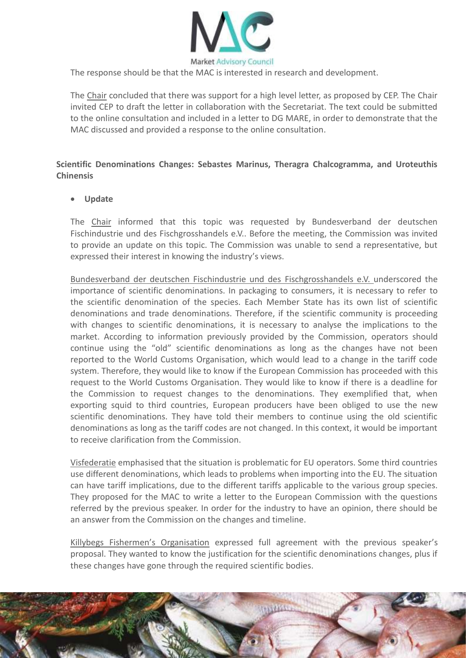

The response should be that the MAC is interested in research and development.

The Chair concluded that there was support for a high level letter, as proposed by CEP. The Chair invited CEP to draft the letter in collaboration with the Secretariat. The text could be submitted to the online consultation and included in a letter to DG MARE, in order to demonstrate that the MAC discussed and provided a response to the online consultation.

### **Scientific Denominations Changes: Sebastes Marinus, Theragra Chalcogramma, and Uroteuthis Chinensis**

#### **Update**

The Chair informed that this topic was requested by Bundesverband der deutschen Fischindustrie und des Fischgrosshandels e.V.. Before the meeting, the Commission was invited to provide an update on this topic. The Commission was unable to send a representative, but expressed their interest in knowing the industry's views.

Bundesverband der deutschen Fischindustrie und des Fischgrosshandels e.V. underscored the importance of scientific denominations. In packaging to consumers, it is necessary to refer to the scientific denomination of the species. Each Member State has its own list of scientific denominations and trade denominations. Therefore, if the scientific community is proceeding with changes to scientific denominations, it is necessary to analyse the implications to the market. According to information previously provided by the Commission, operators should continue using the "old" scientific denominations as long as the changes have not been reported to the World Customs Organisation, which would lead to a change in the tariff code system. Therefore, they would like to know if the European Commission has proceeded with this request to the World Customs Organisation. They would like to know if there is a deadline for the Commission to request changes to the denominations. They exemplified that, when exporting squid to third countries, European producers have been obliged to use the new scientific denominations. They have told their members to continue using the old scientific denominations as long as the tariff codes are not changed. In this context, it would be important to receive clarification from the Commission.

Visfederatie emphasised that the situation is problematic for EU operators. Some third countries use different denominations, which leads to problems when importing into the EU. The situation can have tariff implications, due to the different tariffs applicable to the various group species. They proposed for the MAC to write a letter to the European Commission with the questions referred by the previous speaker. In order for the industry to have an opinion, there should be an answer from the Commission on the changes and timeline.

Killybegs Fishermen's Organisation expressed full agreement with the previous speaker's proposal. They wanted to know the justification for the scientific denominations changes, plus if these changes have gone through the required scientific bodies.

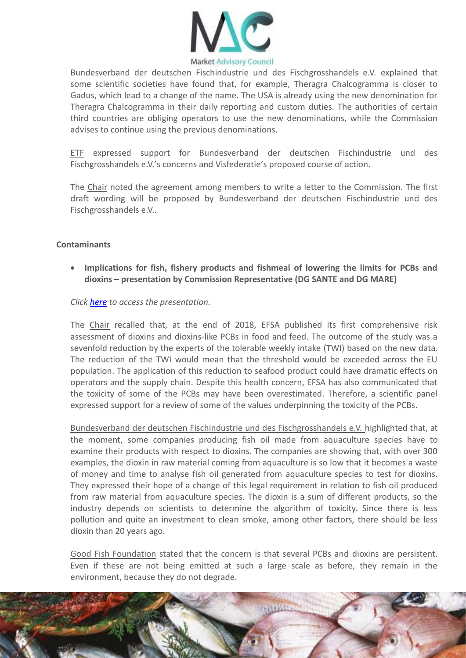

Bundesverband der deutschen Fischindustrie und des Fischgrosshandels e.V. explained that some scientific societies have found that, for example, Theragra Chalcogramma is closer to Gadus, which lead to a change of the name. The USA is already using the new denomination for Theragra Chalcogramma in their daily reporting and custom duties. The authorities of certain third countries are obliging operators to use the new denominations, while the Commission advises to continue using the previous denominations.

ETF expressed support for Bundesverband der deutschen Fischindustrie und des Fischgrosshandels e.V.'s concerns and Visfederatie's proposed course of action.

The Chair noted the agreement among members to write a letter to the Commission. The first draft wording will be proposed by Bundesverband der deutschen Fischindustrie und des Fischgrosshandels e.V..

#### **Contaminants**

 **Implications for fish, fishery products and fishmeal of lowering the limits for PCBs and dioxins – presentation by Commission Representative (DG SANTE and DG MARE)**

*Click [here](https://marketac.eu/wp-content/uploads/2019/05/MAC-dioxins-DL-PCBs.pdf) to access the presentation.*

The Chair recalled that, at the end of 2018, EFSA published its first comprehensive risk assessment of dioxins and dioxins-like PCBs in food and feed. The outcome of the study was a sevenfold reduction by the experts of the tolerable weekly intake (TWI) based on the new data. The reduction of the TWI would mean that the threshold would be exceeded across the EU population. The application of this reduction to seafood product could have dramatic effects on operators and the supply chain. Despite this health concern, EFSA has also communicated that the toxicity of some of the PCBs may have been overestimated. Therefore, a scientific panel expressed support for a review of some of the values underpinning the toxicity of the PCBs.

Bundesverband der deutschen Fischindustrie und des Fischgrosshandels e.V. highlighted that, at the moment, some companies producing fish oil made from aquaculture species have to examine their products with respect to dioxins. The companies are showing that, with over 300 examples, the dioxin in raw material coming from aquaculture is so low that it becomes a waste of money and time to analyse fish oil generated from aquaculture species to test for dioxins. They expressed their hope of a change of this legal requirement in relation to fish oil produced from raw material from aquaculture species. The dioxin is a sum of different products, so the industry depends on scientists to determine the algorithm of toxicity. Since there is less pollution and quite an investment to clean smoke, among other factors, there should be less dioxin than 20 years ago.

Good Fish Foundation stated that the concern is that several PCBs and dioxins are persistent. Even if these are not being emitted at such a large scale as before, they remain in the environment, because they do not degrade.

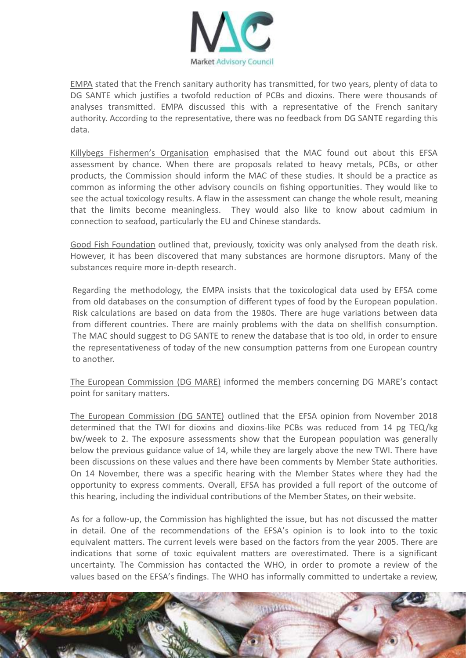

EMPA stated that the French sanitary authority has transmitted, for two years, plenty of data to DG SANTE which justifies a twofold reduction of PCBs and dioxins. There were thousands of analyses transmitted. EMPA discussed this with a representative of the French sanitary authority. According to the representative, there was no feedback from DG SANTE regarding this data.

Killybegs Fishermen's Organisation emphasised that the MAC found out about this EFSA assessment by chance. When there are proposals related to heavy metals, PCBs, or other products, the Commission should inform the MAC of these studies. It should be a practice as common as informing the other advisory councils on fishing opportunities. They would like to see the actual toxicology results. A flaw in the assessment can change the whole result, meaning that the limits become meaningless. They would also like to know about cadmium in connection to seafood, particularly the EU and Chinese standards.

Good Fish Foundation outlined that, previously, toxicity was only analysed from the death risk. However, it has been discovered that many substances are hormone disruptors. Many of the substances require more in-depth research.

Regarding the methodology, the EMPA insists that the toxicological data used by EFSA come from old databases on the consumption of different types of food by the European population. Risk calculations are based on data from the 1980s. There are huge variations between data from different countries. There are mainly problems with the data on shellfish consumption. The MAC should suggest to DG SANTE to renew the database that is too old, in order to ensure the representativeness of today of the new consumption patterns from one European country to another.

The European Commission (DG MARE) informed the members concerning DG MARE's contact point for sanitary matters.

The European Commission (DG SANTE) outlined that the EFSA opinion from November 2018 determined that the TWI for dioxins and dioxins-like PCBs was reduced from 14 pg TEQ/kg bw/week to 2. The exposure assessments show that the European population was generally below the previous guidance value of 14, while they are largely above the new TWI. There have been discussions on these values and there have been comments by Member State authorities. On 14 November, there was a specific hearing with the Member States where they had the opportunity to express comments. Overall, EFSA has provided a full report of the outcome of this hearing, including the individual contributions of the Member States, on their website.

As for a follow-up, the Commission has highlighted the issue, but has not discussed the matter in detail. One of the recommendations of the EFSA's opinion is to look into to the toxic equivalent matters. The current levels were based on the factors from the year 2005. There are indications that some of toxic equivalent matters are overestimated. There is a significant uncertainty. The Commission has contacted the WHO, in order to promote a review of the values based on the EFSA's findings. The WHO has informally committed to undertake a review,

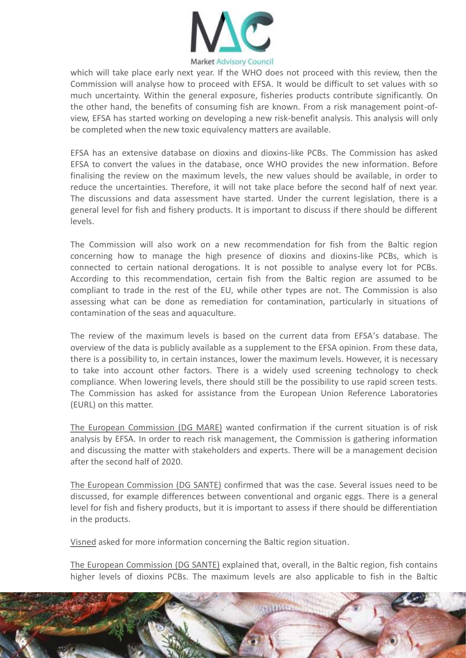

which will take place early next year. If the WHO does not proceed with this review, then the Commission will analyse how to proceed with EFSA. It would be difficult to set values with so much uncertainty. Within the general exposure, fisheries products contribute significantly. On the other hand, the benefits of consuming fish are known. From a risk management point-ofview, EFSA has started working on developing a new risk-benefit analysis. This analysis will only be completed when the new toxic equivalency matters are available.

EFSA has an extensive database on dioxins and dioxins-like PCBs. The Commission has asked EFSA to convert the values in the database, once WHO provides the new information. Before finalising the review on the maximum levels, the new values should be available, in order to reduce the uncertainties. Therefore, it will not take place before the second half of next year. The discussions and data assessment have started. Under the current legislation, there is a general level for fish and fishery products. It is important to discuss if there should be different levels.

The Commission will also work on a new recommendation for fish from the Baltic region concerning how to manage the high presence of dioxins and dioxins-like PCBs, which is connected to certain national derogations. It is not possible to analyse every lot for PCBs. According to this recommendation, certain fish from the Baltic region are assumed to be compliant to trade in the rest of the EU, while other types are not. The Commission is also assessing what can be done as remediation for contamination, particularly in situations of contamination of the seas and aquaculture.

The review of the maximum levels is based on the current data from EFSA's database. The overview of the data is publicly available as a supplement to the EFSA opinion. From these data, there is a possibility to, in certain instances, lower the maximum levels. However, it is necessary to take into account other factors. There is a widely used screening technology to check compliance. When lowering levels, there should still be the possibility to use rapid screen tests. The Commission has asked for assistance from the European Union Reference Laboratories (EURL) on this matter.

The European Commission (DG MARE) wanted confirmation if the current situation is of risk analysis by EFSA. In order to reach risk management, the Commission is gathering information and discussing the matter with stakeholders and experts. There will be a management decision after the second half of 2020.

The European Commission (DG SANTE) confirmed that was the case. Several issues need to be discussed, for example differences between conventional and organic eggs. There is a general level for fish and fishery products, but it is important to assess if there should be differentiation in the products.

Visned asked for more information concerning the Baltic region situation.

The European Commission (DG SANTE) explained that, overall, in the Baltic region, fish contains higher levels of dioxins PCBs. The maximum levels are also applicable to fish in the Baltic

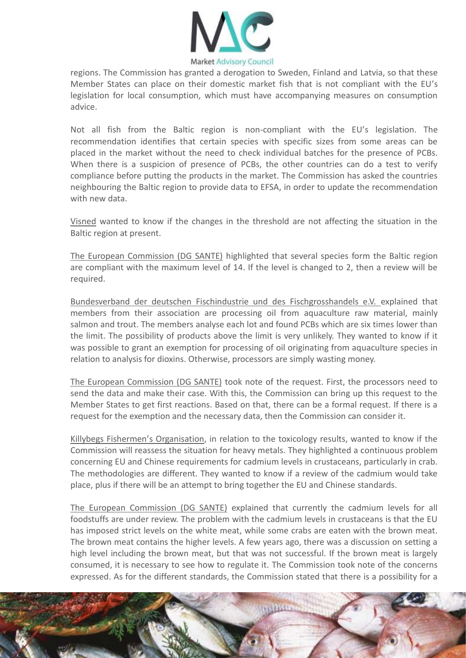

regions. The Commission has granted a derogation to Sweden, Finland and Latvia, so that these Member States can place on their domestic market fish that is not compliant with the EU's legislation for local consumption, which must have accompanying measures on consumption advice.

Not all fish from the Baltic region is non-compliant with the EU's legislation. The recommendation identifies that certain species with specific sizes from some areas can be placed in the market without the need to check individual batches for the presence of PCBs. When there is a suspicion of presence of PCBs, the other countries can do a test to verify compliance before putting the products in the market. The Commission has asked the countries neighbouring the Baltic region to provide data to EFSA, in order to update the recommendation with new data.

Visned wanted to know if the changes in the threshold are not affecting the situation in the Baltic region at present.

The European Commission (DG SANTE) highlighted that several species form the Baltic region are compliant with the maximum level of 14. If the level is changed to 2, then a review will be required.

Bundesverband der deutschen Fischindustrie und des Fischgrosshandels e.V. explained that members from their association are processing oil from aquaculture raw material, mainly salmon and trout. The members analyse each lot and found PCBs which are six times lower than the limit. The possibility of products above the limit is very unlikely. They wanted to know if it was possible to grant an exemption for processing of oil originating from aquaculture species in relation to analysis for dioxins. Otherwise, processors are simply wasting money.

The European Commission (DG SANTE) took note of the request. First, the processors need to send the data and make their case. With this, the Commission can bring up this request to the Member States to get first reactions. Based on that, there can be a formal request. If there is a request for the exemption and the necessary data, then the Commission can consider it.

Killybegs Fishermen's Organisation, in relation to the toxicology results, wanted to know if the Commission will reassess the situation for heavy metals. They highlighted a continuous problem concerning EU and Chinese requirements for cadmium levels in crustaceans, particularly in crab. The methodologies are different. They wanted to know if a review of the cadmium would take place, plus if there will be an attempt to bring together the EU and Chinese standards.

The European Commission (DG SANTE) explained that currently the cadmium levels for all foodstuffs are under review. The problem with the cadmium levels in crustaceans is that the EU has imposed strict levels on the white meat, while some crabs are eaten with the brown meat. The brown meat contains the higher levels. A few years ago, there was a discussion on setting a high level including the brown meat, but that was not successful. If the brown meat is largely consumed, it is necessary to see how to regulate it. The Commission took note of the concerns expressed. As for the different standards, the Commission stated that there is a possibility for a

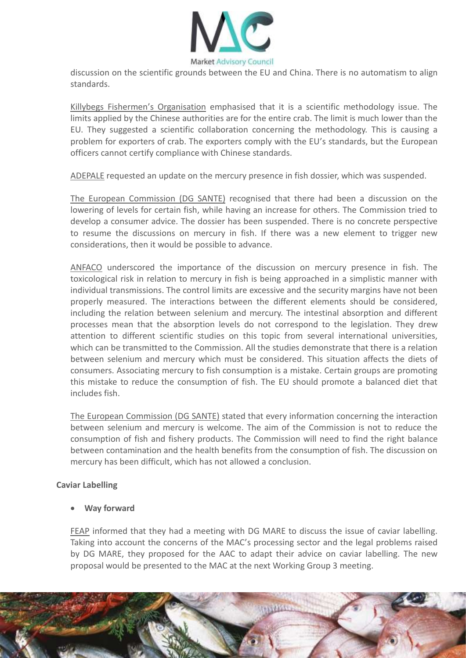

discussion on the scientific grounds between the EU and China. There is no automatism to align standards.

Killybegs Fishermen's Organisation emphasised that it is a scientific methodology issue. The limits applied by the Chinese authorities are for the entire crab. The limit is much lower than the EU. They suggested a scientific collaboration concerning the methodology. This is causing a problem for exporters of crab. The exporters comply with the EU's standards, but the European officers cannot certify compliance with Chinese standards.

ADEPALE requested an update on the mercury presence in fish dossier, which was suspended.

The European Commission (DG SANTE) recognised that there had been a discussion on the lowering of levels for certain fish, while having an increase for others. The Commission tried to develop a consumer advice. The dossier has been suspended. There is no concrete perspective to resume the discussions on mercury in fish. If there was a new element to trigger new considerations, then it would be possible to advance.

ANFACO underscored the importance of the discussion on mercury presence in fish. The toxicological risk in relation to mercury in fish is being approached in a simplistic manner with individual transmissions. The control limits are excessive and the security margins have not been properly measured. The interactions between the different elements should be considered, including the relation between selenium and mercury. The intestinal absorption and different processes mean that the absorption levels do not correspond to the legislation. They drew attention to different scientific studies on this topic from several international universities, which can be transmitted to the Commission. All the studies demonstrate that there is a relation between selenium and mercury which must be considered. This situation affects the diets of consumers. Associating mercury to fish consumption is a mistake. Certain groups are promoting this mistake to reduce the consumption of fish. The EU should promote a balanced diet that includes fish.

The European Commission (DG SANTE) stated that every information concerning the interaction between selenium and mercury is welcome. The aim of the Commission is not to reduce the consumption of fish and fishery products. The Commission will need to find the right balance between contamination and the health benefits from the consumption of fish. The discussion on mercury has been difficult, which has not allowed a conclusion.

#### **Caviar Labelling**

**Way forward**

FEAP informed that they had a meeting with DG MARE to discuss the issue of caviar labelling. Taking into account the concerns of the MAC's processing sector and the legal problems raised by DG MARE, they proposed for the AAC to adapt their advice on caviar labelling. The new proposal would be presented to the MAC at the next Working Group 3 meeting.

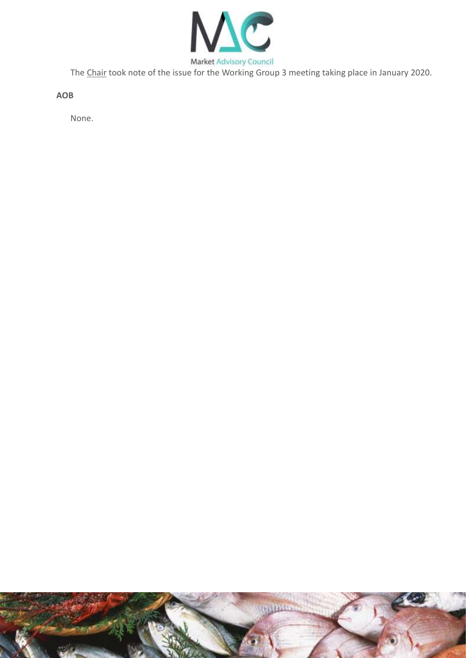

The Chair took note of the issue for the Working Group 3 meeting taking place in January 2020.

**AOB**

None.

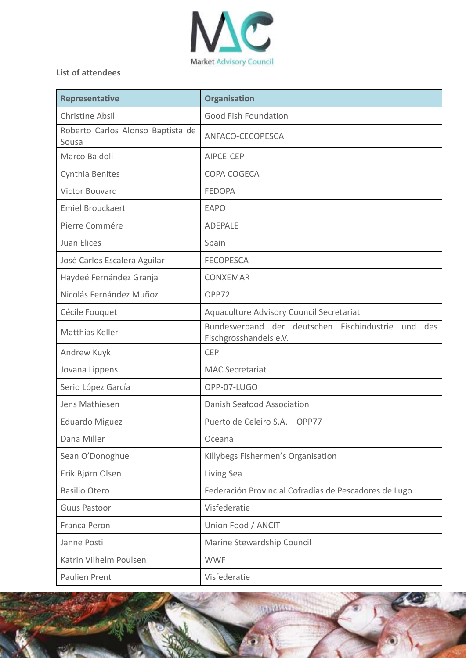

## **List of attendees**

| Representative                             | <b>Organisation</b>                                                                |
|--------------------------------------------|------------------------------------------------------------------------------------|
| <b>Christine Absil</b>                     | <b>Good Fish Foundation</b>                                                        |
| Roberto Carlos Alonso Baptista de<br>Sousa | ANFACO-CECOPESCA                                                                   |
| Marco Baldoli                              | AIPCE-CEP                                                                          |
| Cynthia Benites                            | COPA COGECA                                                                        |
| Victor Bouvard                             | <b>FEDOPA</b>                                                                      |
| <b>Emiel Brouckaert</b>                    | <b>EAPO</b>                                                                        |
| Pierre Commére                             | <b>ADEPALE</b>                                                                     |
| <b>Juan Elices</b>                         | Spain                                                                              |
| José Carlos Escalera Aguilar               | <b>FECOPESCA</b>                                                                   |
| Haydeé Fernández Granja                    | <b>CONXEMAR</b>                                                                    |
| Nicolás Fernández Muñoz                    | OPP72                                                                              |
| Cécile Fouquet                             | Aquaculture Advisory Council Secretariat                                           |
| Matthias Keller                            | Bundesverband der deutschen Fischindustrie<br>und<br>des<br>Fischgrosshandels e.V. |
| Andrew Kuyk                                | <b>CEP</b>                                                                         |
| Jovana Lippens                             | <b>MAC Secretariat</b>                                                             |
| Serio López García                         | OPP-07-LUGO                                                                        |
| Jens Mathiesen                             | <b>Danish Seafood Association</b>                                                  |
| <b>Eduardo Miguez</b>                      | Puerto de Celeiro S.A. - OPP77                                                     |
| Dana Miller                                | Oceana                                                                             |
| Sean O'Donoghue                            | Killybegs Fishermen's Organisation                                                 |
| Erik Bjørn Olsen                           | Living Sea                                                                         |
| <b>Basilio Otero</b>                       | Federación Provincial Cofradías de Pescadores de Lugo                              |
| <b>Guus Pastoor</b>                        | Visfederatie                                                                       |
| Franca Peron                               | Union Food / ANCIT                                                                 |
| Janne Posti                                | Marine Stewardship Council                                                         |
| Katrin Vilhelm Poulsen                     | <b>WWF</b>                                                                         |
| Paulien Prent                              | Visfederatie                                                                       |

**WAYN**